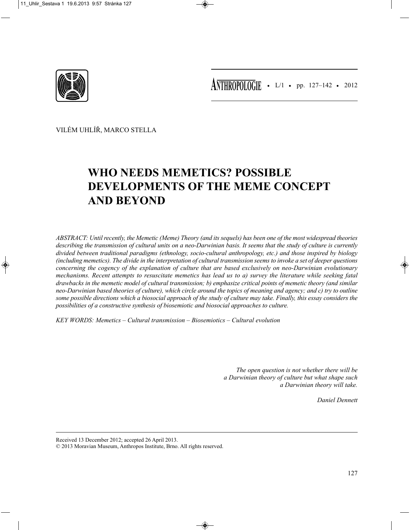

• L/1 • pp. 127–142 • 2012 **ANTHROPOLOGIE**

VILÉM UHLÍŘ, MARCO STELLA

# **WHO NEEDS MEMETICS? POSSIBLE DEVELOPMENTS OF THE MEME CONCEPT AND BEYOND**

*ABSTRACT: Until recently, the Memetic (Meme) Theory (and its sequels) has been one of the most widespread theories describing the transmission of cultural units on a neo-Darwinian basis. It seems that the study of culture is currently divided between traditional paradigms (ethnology, socio-cultural anthropology, etc.) and those inspired by biology (including memetics). The divide in the interpretation of cultural transmission seems to invoke a set of deeper questions concerning the cogency of the explanation of culture that are based exclusively on neo-Darwinian evolutionary mechanisms. Recent attempts to resuscitate memetics has lead us to a) survey the literature while seeking fatal drawbacks in the memetic model of cultural transmission; b) emphasize critical points of memetic theory (and similar neo-Darwinian based theories of culture), which circle around the topics of meaning and agency; and c) try to outline some possible directions which a biosocial approach of the study of culture may take. Finally, this essay considers the possibilities of a constructive synthesis of biosemiotic and biosocial approaches to culture.*

*KEY WORDS: Memetics – Cultural transmission – Biosemiotics – Cultural evolution*

*The open question is not whether there will be a Darwinian theory of culture but what shape such a Darwinian theory will take.* 

*Daniel Dennett*

Received 13 December 2012; accepted 26 April 2013.

© 2013 Moravian Museum, Anthropos Institute, Brno. All rights reserved.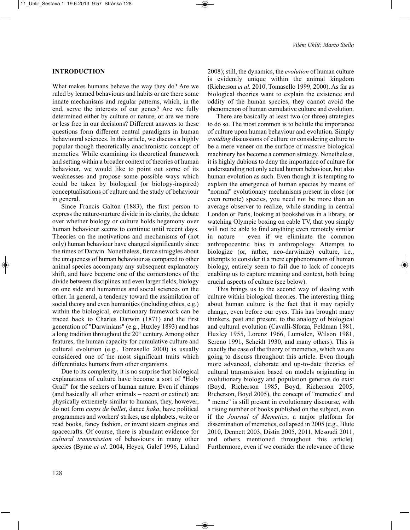## **INTRODUCTION**

What makes humans behave the way they do? Are we ruled by learned behaviours and habits or are there some innate mechanisms and regular patterns, which, in the end, serve the interests of our genes? Are we fully determined either by culture or nature, or are we more or less free in our decisions? Different answers to these questions form different central paradigms in human behavioural sciences. In this article, we discuss a highly popular though theoretically anachronistic concept of memetics. While examining its theoretical framework and setting within a broader context of theories of human behaviour, we would like to point out some of its weaknesses and propose some possible ways which could be taken by biological (or biology-inspired) conceptualisations of culture and the study of behaviour in general.

Since Francis Galton (1883), the first person to express the nature-nurture divide in its clarity, the debate over whether biology or culture holds hegemony over human behaviour seems to continue until recent days. Theories on the motivations and mechanisms of (not only) human behaviour have changed significantly since the times of Darwin. Nonetheless, fierce struggles about the uniqueness of human behaviour as compared to other animal species accompany any subsequent explanatory shift, and have become one of the cornerstones of the divide between disciplines and even larger fields, biology on one side and humanities and social sciences on the other. In general, a tendency toward the assimilation of social theory and even humanities (including ethics, e.g.) within the biological, evolutionary framework can be traced back to Charles Darwin (1871) and the first generation of "Darwinians" (e.g., Huxley 1893) and has a long tradition throughout the  $20<sup>th</sup>$  century. Among other features, the human capacity for cumulative culture and cultural evolution (e.g., Tomasello 2000) is usually considered one of the most significant traits which differentiates humans from other organisms.

Due to its complexity, it is no surprise that biological explanations of culture have become a sort of "Holy Grail" for the seekers of human nature. Even if chimps (and basically all other animals – recent or extinct) are physically extremely similar to humans, they, however, do not form *corps de ballet*, dance *haka*, have political programmes and workers' strikes, use alphabets, write or read books, fancy fashion, or invent steam engines and spacecrafts. Of course, there is abundant evidence for *cultural transmission* of behaviours in many other species (Byrne *et al.* 2004, Heyes, Galef 1996, Laland 2008); still, the dynamics, the *evolution* of human culture is evidently unique within the animal kingdom (Richerson *et al.* 2010, Tomasello 1999, 2000). As far as biological theories want to explain the existence and oddity of the human species, they cannot avoid the phenomenon of human cumulative culture and evolution.

There are basically at least two (or three) strategies to do so. The most common is to belittle the importance of culture upon human behaviour and evolution. Simply *avoiding* discussions of culture or considering culture to be a mere veneer on the surface of massive biological machinery has become a common strategy. Nonetheless, it is highly dubious to deny the importance of culture for understanding not only actual human behaviour, but also human evolution as such. Even though it is tempting to explain the emergence of human species by means of "normal" evolutionary mechanisms present in close (or even remote) species, you need not be more than an average observer to realize, while standing in central London or Paris, looking at bookshelves in a library, or watching Olympic boxing on cable TV, that you simply will not be able to find anything even remotely similar in nature – even if we eliminate the common anthropocentric bias in anthropology. Attempts to biologize (or, rather, neo-darwinize) culture, i.e., attempts to consider it a mere epiphenomenon of human biology, entirely seem to fail due to lack of concepts enabling us to capture meaning and context, both being crucial aspects of culture (see below).

This brings us to the second way of dealing with culture within biological theories. The interesting thing about human culture is the fact that it may rapidly change, even before our eyes. This has brought many thinkers, past and present, to the analogy of biological and cultural evolution (Cavalli-Sforza, Feldman 1981, Huxley 1955, Lorenz 1966, Lumsden, Wilson 1981, Sereno 1991, Scheidt 1930, and many others). This is exactly the case of the theory of memetics, which we are going to discuss throughout this article. Even though more advanced, elaborate and up-to-date theories of cultural transmission based on models originating in evolutionary biology and population genetics do exist (Boyd, Richerson 1985, Boyd, Richerson 2005, Richerson, Boyd 2005), the concept of "memetics" and " meme" is still present in evolutionary discourse, with a rising number of books published on the subject, even if the *Journal of Memetics*, a major platform for dissemination of memetics, collapsed in 2005 (e.g., Blute 2010, Dennett 2003, Distin 2005, 2011, Mesoudi 2011, and others mentioned throughout this article). Furthermore, even if we consider the relevance of these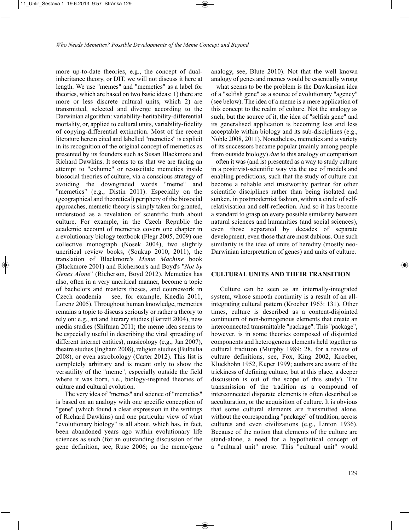more up-to-date theories, e.g., the concept of dualinheritance theory, or DIT, we will not discuss it here at length. We use "memes" and "memetics" as a label for theories, which are based on two basic ideas: 1) there are more or less discrete cultural units, which 2) are transmitted, selected and diverge according to the Darwinian algorithm: variability-heritability-differential mortality, or, applied to cultural units, variability-fidelity of copying-differential extinction. Most of the recent literature herein cited and labelled "memetics" is explicit in its recognition of the original concept of memetics as presented by its founders such as Susan Blackmore and Richard Dawkins. It seems to us that we are facing an attempt to "exhume" or resuscitate memetics inside biosocial theories of culture, via a conscious strategy of avoiding the downgraded words "meme" and "memetics" (e.g., Distin 2011). Especially on the (geographical and theoretical) periphery of the biosocial approaches, memetic theory is simply taken for granted, understood as a revelation of scientific truth about culture. For example, in the Czech Republic the academic account of memetics covers one chapter in a evolutionary biology textbook (Flegr 2005, 2009) one collective monograph (Nosek 2004), two slightly uncritical review books, (Soukup 2010, 2011), the translation of Blackmore's *Meme Machine* book (Blackmore 2001) and Richerson's and Boyd's "*Not by Genes Alone*" (Richerson, Boyd 2012). Memetics has also, often in a very uncritical manner, become a topic of bachelors and masters theses, and coursework in Czech academia – see, for example, Knedla 2011, Lorenz 2005). Throughout human knowledge, memetics remains a topic to discuss seriously or rather a theory to rely on: e.g., art and literary studies (Barrett 2004), new media studies (Shifman 2011; the meme idea seems to be especially useful in describing the viral spreading of different internet entities), musicology (e.g., Jan 2007), theatre studies (Ingham 2008), religion studies (Bulbulia 2008), or even astrobiology (Carter 2012). This list is completely arbitrary and is meant only to show the versatility of the "meme", especially outside the field where it was born, i.e., biology-inspired theories of culture and cultural evolution.

The very idea of "memes" and science of "memetics" is based on an analogy with one specific conception of "gene" (which found a clear expression in the writings of Richard Dawkins) and one particular view of what "evolutionary biology" is all about, which has, in fact, been abandoned years ago within evolutionary life sciences as such (for an outstanding discussion of the gene definition, see, Ruse 2006; on the meme/gene

analogy, see, Blute 2010). Not that the well known analogy of genes and memes would be essentially wrong – what seems to be the problem is the Dawkinsian idea of a "selfish gene" as a source of evolutionary "agency" (see below). The idea of a meme is a mere application of this concept to the realm of culture. Not the analogy as such, but the source of it, the idea of "selfish gene" and its generalised application is becoming less and less acceptable within biology and its sub-disciplines (e.g., Noble 2008, 2011). Nonetheless, memetics and a variety of its successors became popular (mainly among people from outside biology) *due* to this analogy or comparison – often it was (and is) presented as a way to study culture in a positivist-scientific way via the use of models and enabling predictions, such that the study of culture can become a reliable and trustworthy partner for other scientific disciplines rather than being isolated and sunken, in postmodernist fashion, within a circle of selfrelativisation and self-reflection. And so it has become a standard to grasp on every possible similarity between natural sciences and humanities (and social sciences), even those separated by decades of separate development, even those that are most dubious. One such similarity is the idea of units of heredity (mostly neo-Darwinian interpretation of genes) and units of culture.

# **CULTURAL UNITS AND THEIR TRANSITION**

Culture can be seen as an internally-integrated system, whose smooth continuity is a result of an allintegrating cultural pattern (Kroeber 1963: 131). Other times, culture is described as a content-disjointed continuum of non-homogenous elements that create an interconnected transmittable "package". This "package", however, is in some theories composed of disjointed components and heterogenous elements held together as cultural tradition (Murphy 1989: 28, for a review of culture definitions, see, Fox, King 2002, Kroeber, Kluckhohn 1952, Kuper 1999; authors are aware of the trickiness of defining culture, but at this place, a deeper discussion is out of the scope of this study). The transmission of the tradition as a compound of interconnected disparate elements is often described as acculturation, or the acquisition of culture. It is obvious that some cultural elements are transmitted alone, without the corresponding "package" of tradition, across cultures and even civilizations (e.g., Linton 1936). Because of the notion that elements of the culture are stand-alone, a need for a hypothetical concept of a "cultural unit" arose. This "cultural unit" would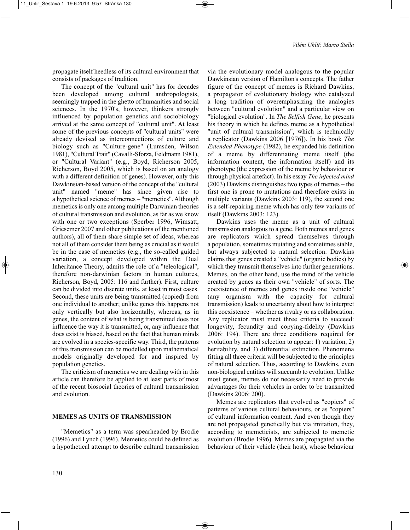propagate itself heedless of its cultural environment that consists of packages of tradition.

The concept of the "cultural unit" has for decades been developed among cultural anthropologists, seemingly trapped in the ghetto of humanities and social sciences. In the 1970's, however, thinkers strongly influenced by population genetics and sociobiology arrived at the same concept of "cultural unit". At least some of the previous concepts of "cultural units" were already devised as interconnections of culture and biology such as "Culture-gene" (Lumsden, Wilson 1981), "Cultural Trait" (Cavalli-Sforza, Feldmann 1981), or "Cultural Variant" (e.g., Boyd, Richerson 2005, Richerson, Boyd 2005, which is based on an analogy with a different definition of genes). However, only this Dawkinsian-based version of the concept of the "cultural unit" named "meme" has since given rise to a hypothetical science of memes – "memetics". Although memetics is only one among multiple Darwinian theories of cultural transmission and evolution, as far as we know with one or two exceptions (Sperber 1996, Wimsatt, Griesemer 2007 and other publications of the mentioned authors), all of them share simple set of ideas, whereas not all of them consider them being as crucial as it would be in the case of memetics (e.g., the so-called guided variation, a concept developed within the Dual Inheritance Theory, admits the role of a "teleological", therefore non-darwinian factors in human cultures, Richerson, Boyd, 2005: 116 and further). First, culture can be divided into discrete units, at least in most cases. Second, these units are being transmitted (copied) from one individual to another; unlike genes this happens not only vertically but also horizontally, whereas, as in genes, the content of what is being transmitted does not influence the way it is transmitted, or, any influence that does exist is biased, based on the fact that human minds are evolved in a species-specific way. Third, the patterns of this transmission can be modelled upon mathematical models originally developed for and inspired by population genetics.

The criticism of memetics we are dealing with in this article can therefore be applied to at least parts of most of the recent biosocial theories of cultural transmission and evolution.

## **MEMES AS UNITS OF TRANSMISSION**

"Memetics" as a term was spearheaded by Brodie (1996) and Lynch (1996). Memetics could be defined as a hypothetical attempt to describe cultural transmission via the evolutionary model analogous to the popular Dawkinsian version of Hamilton's concepts. The father figure of the concept of memes is Richard Dawkins, a propagator of evolutionary biology who catalyzed a long tradition of overemphasizing the analogies between "cultural evolution" and a particular view on "biological evolution". In *The Selfish Gene*, he presents his theory in which he defines meme as a hypothetical "unit of cultural transmission", which is technically a replicator (Dawkins 2006 [1976]). In his book *The Extended Phenotype* (1982), he expanded his definition of a meme by differentiating meme itself (the information content, the information itself) and its phenotype (the expression of the meme by behaviour or through physical artefact). In his essay *The infected mind* (2003) Dawkins distinguishes two types of memes – the first one is prone to mutations and therefore exists in multiple variants (Dawkins 2003: 119), the second one is a self-repairing meme which has only few variants of itself (Dawkins 2003: 123).

Dawkins uses the meme as a unit of cultural transmission analogous to a gene. Both memes and genes are replicators which spread themselves through a population, sometimes mutating and sometimes stable, but always subjected to natural selection. Dawkins claims that genes created a "vehicle" (organic bodies) by which they transmit themselves into further generations. Memes, on the other hand, use the mind of the vehicle created by genes as their own "vehicle" of sorts. The coexistence of memes and genes inside one "vehicle" (any organism with the capacity for cultural transmission) leads to uncertainty about how to interpret this coexistence – whether as rivalry or as collaboration. Any replicator must meet three criteria to succeed: longevity, fecundity and copying-fidelity (Dawkins 2006: 194). There are three conditions required for evolution by natural selection to appear: 1) variation, 2) heritability, and 3) differential extinction. Phenomena fitting all three criteria will be subjected to the principles of natural selection. Thus, according to Dawkins, even non-biological entities will succumb to evolution. Unlike most genes, memes do not necessarily need to provide advantages for their vehicles in order to be transmitted (Dawkins 2006: 200).

Memes are replicators that evolved as "copiers" of patterns of various cultural behaviours, or as "copiers" of cultural information content. And even though they are not propagated genetically but via imitation, they, according to memeticists, are subjected to memetic evolution (Brodie 1996). Memes are propagated via the behaviour of their vehicle (their host), whose behaviour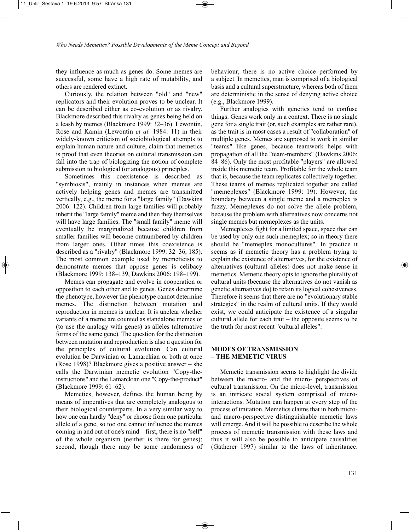they influence as much as genes do. Some memes are successful, some have a high rate of mutability, and others are rendered extinct.

Curiously, the relation between "old" and "new" replicators and their evolution proves to be unclear. It can be described either as co-evolution or as rivalry. Blackmore described this rivalry as genes being held on a leash by memes (Blackmore 1999: 32–36). Lewontin, Rose and Kamin (Lewontin *et al.* 1984: 11) in their widely-known criticism of sociobiological attempts to explain human nature and culture, claim that memetics is proof that even theories on cultural transmission can fall into the trap of biologizing the notion of complete submission to biological (or analogous) principles.

Sometimes this coexistence is described as "symbiosis", mainly in instances when memes are actively helping genes and memes are transmitted vertically, e.g., the meme for a "large family" (Dawkins 2006: 122). Children from large families will probably inherit the "large family" meme and then they themselves will have large families. The "small family" meme will eventually be marginalized because children from smaller families will become outnumbered by children from larger ones. Other times this coexistence is described as a "rivalry" (Blackmore 1999: 32–36, 185). The most common example used by memeticists to demonstrate memes that oppose genes is celibacy (Blackmore 1999: 138–139, Dawkins 2006: 198–199).

Memes can propagate and evolve in cooperation or opposition to each other and to genes. Genes determine the phenotype, however the phenotype cannot determine memes. The distinction between mutation and reproduction in memes is unclear. It is unclear whether variants of a meme are counted as standalone memes or (to use the analogy with genes) as alleles (alternative forms of the same gene). The question for the distinction between mutation and reproduction is also a question for the principles of cultural evolution. Can cultural evolution be Darwinian or Lamarckian or both at once (Rose 1998)? Blackmore gives a positive answer – she calls the Darwinian memetic evolution "Copy-theinstructions" and the Lamarckian one "Copy-the-product" (Blackmore 1999: 61–62).

Memetics, however, defines the human being by means of imperatives that are completely analogous to their biological counterparts. In a very similar way to how one can hardly "deny" or choose from one particular allele of a gene, so too one cannot influence the memes coming in and out of one's mind – first, there is no "self" of the whole organism (neither is there for genes); second, though there may be some randomness of behaviour, there is no active choice performed by a subject. In memetics, man is comprised of a biological basis and a cultural superstructure, whereas both of them are deterministic in the sense of denying active choice (e.g., Blackmore 1999).

Further analogies with genetics tend to confuse things. Genes work only in a context. There is no single gene for a single trait (or, such examples are rather rare), as the trait is in most cases a result of "collaboration" of multiple genes. Memes are supposed to work in similar "teams" like genes, because teamwork helps with propagation of all the "team-members" (Dawkins 2006: 84–86). Only the most profitable "players" are allowed inside this memetic team. Profitable for the whole team that is, because the team replicates collectively together. These teams of memes replicated together are called "memeplexes" (Blackmore 1999: 19). However, the boundary between a single meme and a memeplex is fuzzy. Memeplexes do not solve the allele problem, because the problem with alternatives now concerns not single memes but memeplexes as the units.

Memeplexes fight for a limited space, space that can be used by only one such memeplex; so in theory there should be "memeplex monocultures". In practice it seems as if memetic theory has a problem trying to explain the existence of alternatives, for the existence of alternatives (cultural alleles) does not make sense in memetics. Memetic theory opts to ignore the plurality of cultural units (because the alternatives do not vanish as genetic alternatives do) to retain its logical cohesiveness. Therefore it seems that there are no "evolutionary stable strategies" in the realm of cultural units. If they would exist, we could anticipate the existence of a singular cultural allele for each trait – the opposite seems to be the truth for most recent "cultural alleles".

# **MODES OF TRANSMISSION – THE MEMETIC VIRUS**

Memetic transmission seems to highlight the divide between the macro- and the micro- perspectives of cultural transmission. On the micro-level, transmission is an intricate social system comprised of microinteractions. Mutation can happen at every step of the process of imitation. Memetics claims that in both microand macro-perspective distinguishable memetic laws will emerge. And it will be possible to describe the whole process of memetic transmission with these laws and thus it will also be possible to anticipate causalities (Gatherer 1997) similar to the laws of inheritance.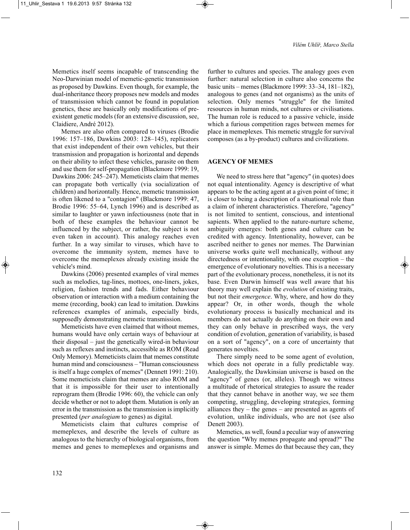Memetics itself seems incapable of transcending the Neo-Darwinian model of memetic-genetic transmission as proposed by Dawkins. Even though, for example, the dual-inheritance theory proposes new models and modes of transmission which cannot be found in population genetics, these are basically only modifications of preexistent genetic models (for an extensive discussion, see, Claidiere, André 2012).

Memes are also often compared to viruses (Brodie 1996: 157–186, Dawkins 2003: 128–145), replicators that exist independent of their own vehicles, but their transmission and propagation is horizontal and depends on their ability to infect these vehicles, parasite on them and use them for self-propagation (Blackmore 1999: 19, Dawkins 2006: 245–247). Memeticists claim that memes can propagate both vertically (via socialization of children) and horizontally. Hence, memetic transmission is often likened to a "contagion" (Blackmore 1999: 47, Brodie 1996: 55–64, Lynch 1996) and is described as similar to laughter or yawn infectiousness (note that in both of these examples the behaviour cannot be influenced by the subject, or rather, the subject is not even taken in account). This analogy reaches even further. In a way similar to viruses, which have to overcome the immunity system, memes have to overcome the memeplexes already existing inside the vehicle's mind.

Dawkins (2006) presented examples of viral memes such as melodies, tag-lines, mottoes, one-liners, jokes, religion, fashion trends and fads. Either behaviour observation or interaction with a medium containing the meme (recording, book) can lead to imitation. Dawkins references examples of animals, especially birds, supposedly demonstrating memetic transmission.

Memeticists have even claimed that without memes, humans would have only certain ways of behaviour at their disposal – just the genetically wired-in behaviour such as reflexes and instincts, accessible as ROM (Read Only Memory). Memeticists claim that memes constitute human mind and consciousness – "Human consciousness is itself a huge complex of memes" (Dennett 1991: 210). Some memeticists claim that memes are also ROM and that it is impossible for their user to intentionally reprogram them (Brodie 1996: 60), the vehicle can only decide whether or not to adopt them. Mutation is only an error in the transmission as the transmission is implicitly presented (*per analogiam* to genes) as digital.

Memeticists claim that cultures comprise of memeplexes, and describe the levels of culture as analogous to the hierarchy of biological organisms, from memes and genes to memeplexes and organisms and

further to cultures and species. The analogy goes even further: natural selection in culture also concerns the basic units – memes (Blackmore 1999: 33–34, 181–182), analogous to genes (and not organisms) as the units of selection. Only memes "struggle" for the limited resources in human minds, not cultures or civilisations. The human role is reduced to a passive vehicle, inside which a furious competition rages between memes for place in memeplexes. This memetic struggle for survival composes (as a by-product) cultures and civilizations.

# **AGENCY OF MEMES**

We need to stress here that "agency" (in quotes) does not equal intentionality. Agency is descriptive of what appears to be the acting agent at a given point of time; it is closer to being a description of a situational role than a claim of inherent characteristics. Therefore, "agency" is not limited to sentient, conscious, and intentional sapients. When applied to the nature-nurture scheme, ambiguity emerges: both genes and culture can be credited with agency. Intentionality, however, can be ascribed neither to genes nor memes. The Darwinian universe works quite well mechanically, without any directedness or intentionality, with one exception – the emergence of evolutionary novelties. This is a necessary part of the evolutionary process, nonetheless, it is not its base. Even Darwin himself was well aware that his theory may well explain the *evolution* of existing traits, but not their *emergence*. Why, where, and how do they appear? Or, in other words, though the whole evolutionary process is basically mechanical and its members do not actually do anything on their own and they can only behave in prescribed ways, the very condition of evolution, generation of variability, is based on a sort of "agency", on a core of uncertainty that generates novelties.

There simply need to be some agent of evolution, which does not operate in a fully predictable way. Analogically, the Dawkinsian universe is based on the "agency" of genes (or, alleles). Though we witness a multitude of rhetorical strategies to assure the reader that they cannot behave in another way, we see them competing, struggling, developing strategies, forming alliances they – the genes – are presented as agents of evolution, unlike individuals, who are not (see also Denett 2003).

Memetics, as well, found a peculiar way of answering the question "Why memes propagate and spread?" The answer is simple. Memes do that because they can, they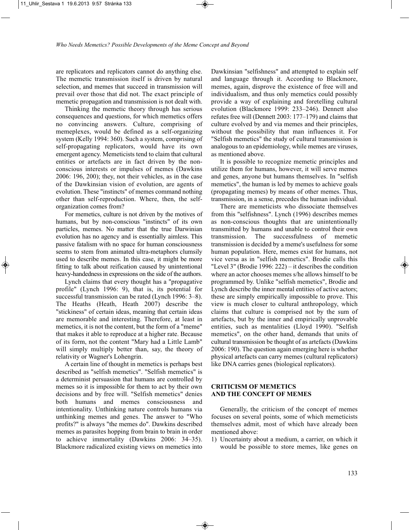are replicators and replicators cannot do anything else. The memetic transmission itself is driven by natural selection, and memes that succeed in transmission will prevail over those that did not. The exact principle of memetic propagation and transmission is not dealt with.

Thinking the memetic theory through has serious consequences and questions, for which memetics offers no convincing answers. Culture, comprising of memeplexes, would be defined as a self-organizing system (Kelly 1994: 360). Such a system, comprising of self-propagating replicators, would have its own emergent agency. Memeticists tend to claim that cultural entities or artefacts are in fact driven by the nonconscious interests or impulses of memes (Dawkins 2006: 196, 200); they, not their vehicles, as in the case of the Dawkinsian vision of evolution, are agents of evolution. These "instincts" of memes command nothing other than self-reproduction. Where, then, the selforganization comes from?

For memetics, culture is not driven by the motives of humans, but by non-conscious "instincts" of its own particles, memes. No matter that the true Darwinian evolution has no agency and is essentially aimless. This passive fatalism with no space for human consciousness seems to stem from animated ultra-metaphors clumsily used to describe memes. In this case, it might be more fitting to talk about reification caused by unintentional heavy-handedness in expressions on the side of the authors.

Lynch claims that every thought has a "propagative profile" (Lynch 1996: 9), that is, its potential for successful transmission can be rated (Lynch 1996: 3–8). The Heaths (Heath, Heath 2007) describe the "stickiness" of certain ideas, meaning that certain ideas are memorable and interesting. Therefore, at least in memetics, it is not the content, but the form of a "meme" that makes it able to reproduce at a higher rate. Because of its form, not the content "Mary had a Little Lamb" will simply multiply better than, say, the theory of relativity or Wagner's Lohengrin.

A certain line of thought in memetics is perhaps best described as "selfish memetics". "Selfish memetics" is a determinist persuasion that humans are controlled by memes so it is impossible for them to act by their own decisions and by free will. "Selfish memetics" denies both humans and memes consciousness and intentionality. Unthinking nature controls humans via unthinking memes and genes. The answer to "Who profits?" is always "the memes do". Dawkins described memes as parasites hopping from brain to brain in order to achieve immortality (Dawkins 2006: 34–35). Blackmore radicalized existing views on memetics into Dawkinsian "selfishness" and attempted to explain self and language through it. According to Blackmore, memes, again, disprove the existence of free will and individualism, and thus only memetics could possibly provide a way of explaining and foretelling cultural evolution (Blackmore 1999: 233–246). Dennett also refutes free will (Dennett 2003: 177–179) and claims that culture evolved by and via memes and their principles, without the possibility that man influences it. For "Selfish memetics" the study of cultural transmission is analogous to an epidemiology, while memes are viruses, as mentioned above.

It is possible to recognize memetic principles and utilize them for humans, however, it will serve memes and genes, anyone but humans themselves. In "selfish memetics", the human is led by memes to achieve goals (propagating memes) by means of other memes. Thus, transmission, in a sense, precedes the human individual.

There are memeticists who dissociate themselves from this "selfishness". Lynch (1996) describes memes as non-conscious thoughts that are unintentionally transmitted by humans and unable to control their own transmission. The successfulness of memetic transmission is decided by a meme's usefulness for some human population. Here, memes exist for humans, not vice versa as in "selfish memetics". Brodie calls this "Level 3" (Brodie 1996: 222) – it describes the condition where an actor chooses memes s/he allows himself to be programmed by. Unlike "selfish memetics", Brodie and Lynch describe the inner mental entities of active actors; these are simply empirically impossible to prove. This view is much closer to cultural anthropology, which claims that culture is comprised not by the sum of artefacts, but by the inner and empirically unprovable entities, such as mentalities (Lloyd 1990). "Selfish memetics", on the other hand, demands that units of cultural transmission be thought of as artefacts (Dawkins 2006: 190). The question again emerging here is whether physical artefacts can carry memes (cultural replicators) like DNA carries genes (biological replicators).

# **CRITICISM OF MEMETICS AND THE CONCEPT OF MEMES**

Generally, the criticism of the concept of memes focuses on several points, some of which memeticists themselves admit, most of which have already been mentioned above:

1) Uncertainty about a medium, a carrier, on which it would be possible to store memes, like genes on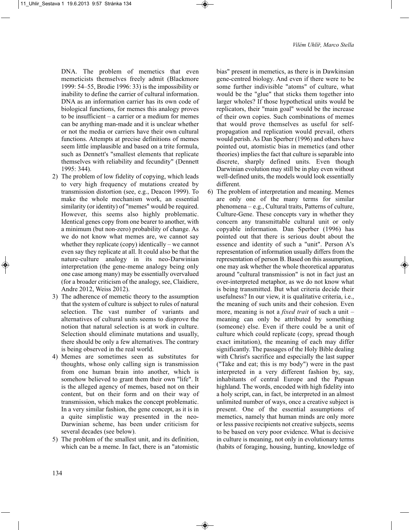DNA. The problem of memetics that even memeticists themselves freely admit (Blackmore 1999: 54–55, Brodie 1996: 33) is the impossibility or inability to define the carrier of cultural information. DNA as an information carrier has its own code of biological functions, for memes this analogy proves to be insufficient – a carrier or a medium for memes can be anything man-made and it is unclear whether or not the media or carriers have their own cultural functions. Attempts at precise definitions of memes seem little implausible and based on a trite formula, such as Dennett's "smallest elements that replicate themselves with reliability and fecundity" (Dennett 1995: 344).

- 2) The problem of low fidelity of copying, which leads to very high frequency of mutations created by transmission distortion (see, e.g., Deacon 1999). To make the whole mechanism work, an essential similarity (or identity) of "memes" would be required. However, this seems also highly problematic. Identical genes copy from one bearer to another, with a minimum (but non-zero) probability of change. As we do not know what memes are, we cannot say whether they replicate (copy) identically – we cannot even say they replicate at all. It could also be that the nature-culture analogy in its neo-Darwinian interpretation (the gene-meme analogy being only one case among many) may be essentially overvalued (for a broader criticism of the analogy, see, Claidiere, Andre 2012, Weiss 2012).
- 3) The adherence of memetic theory to the assumption that the system of culture is subject to rules of natural selection. The vast number of variants and alternatives of cultural units seems to disprove the notion that natural selection is at work in culture. Selection should eliminate mutations and usually, there should be only a few alternatives. The contrary is being observed in the real world.
- 4) Memes are sometimes seen as substitutes for thoughts, whose only calling sign is transmission from one human brain into another, which is somehow believed to grant them their own "life". It is the alleged agency of memes, based not on their content, but on their form and on their way of transmission, which makes the concept problematic. In a very similar fashion, the gene concept, as it is in a quite simplistic way presented in the neo-Darwinian scheme, has been under criticism for several decades (see below).
- 5) The problem of the smallest unit, and its definition, which can be a meme. In fact, there is an "atomistic

bias" present in memetics, as there is in Dawkinsian gene-centred biology. And even if there were to be some further indivisible "atoms" of culture, what would be the "glue" that sticks them together into larger wholes? If those hypothetical units would be replicators, their "main goal" would be the increase of their own copies. Such combinations of memes that would prove themselves as useful for selfpropagation and replication would prevail, others would perish. As Dan Sperber (1996) and others have pointed out, atomistic bias in memetics (and other theories) implies the fact that culture is separable into discrete, sharply defined units. Even though Darwinian evolution may still be in play even without well-defined units, the models would look essentially different.

6) The problem of interpretation and meaning. Memes are only one of the many terms for similar phenomena – e.g., Cultural traits, Patterns of culture, Culture-Gene. These concepts vary in whether they concern any transmittable cultural unit or only copyable information. Dan Sperber (1996) has pointed out that there is serious doubt about the essence and identity of such a "unit". Person A's representation of information usually differs from the representation of person B. Based on this assumption, one may ask whether the whole theoretical apparatus around "cultural transmission" is not in fact just an over-interpreted metaphor, as we do not know what is being transmitted. But what criteria decide their usefulness? In our view, it is qualitative criteria, i.e., the meaning of such units and their cohesion. Even more, meaning is not a *fixed trait* of such a unit – meaning can only be attributed by something (someone) else. Even if there could be a unit of culture which could replicate (copy, spread though exact imitation), the meaning of each may differ significantly. The passages of the Holy Bible dealing with Christ's sacrifice and especially the last supper ("Take and eat; this is my body") were in the past interpreted in a very different fashion by, say, inhabitants of central Europe and the Papuan highland. The words, encoded with high fidelity into a holy script, can, in fact, be interpreted in an almost unlimited number of ways, once a creative subject is present. One of the essential assumptions of memetics, namely that human minds are only more or less passive recipients not creative subjects, seems to be based on very poor evidence. What is decisive in culture is meaning, not only in evolutionary terms (habits of foraging, housing, hunting, knowledge of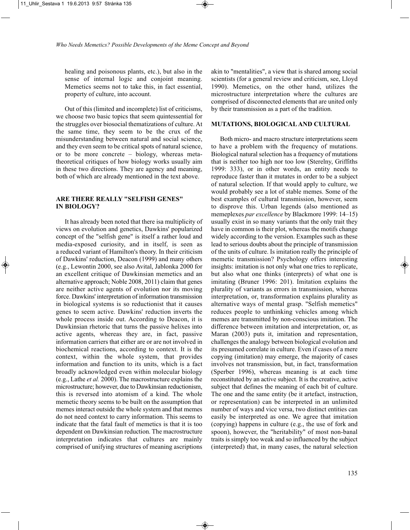healing and poisonous plants, etc.), but also in the sense of internal logic and conjoint meaning. Memetics seems not to take this, in fact essential, property of culture, into account.

Out of this (limited and incomplete) list of criticisms, we choose two basic topics that seem quintessential for the struggles over biosocial thematizations of culture. At the same time, they seem to be the crux of the misunderstanding between natural and social science, and they even seem to be critical spots of natural science, or to be more concrete – biology, whereas metatheoretical critiques of how biology works usually aim in these two directions. They are agency and meaning, both of which are already mentioned in the text above.

# **ARE THERE REALLY "SELFISH GENES" IN BIOLOGY?**

It has already been noted that there isa multiplicity of views on evolution and genetics, Dawkins' popularized concept of the "selfish gene" is itself a rather loud and media-exposed curiosity, and in itself, is seen as a reduced variant of Hamilton's theory. In their criticism of Dawkins' reduction, Deacon (1999) and many others (e.g., Lewontin 2000, see also Avital, Jablonka 2000 for an excellent critique of Dawkinsian memetics and an alternative approach; Noble 2008, 2011) claim that genes are neither active agents of evolution nor its moving force. Dawkins' interpretation of information transmission in biological systems is so reductionist that it causes genes to seem active. Dawkins' reduction inverts the whole process inside out. According to Deacon, it is Dawkinsian rhetoric that turns the passive helixes into active agents, whereas they are, in fact, passive information carriers that either are or are not involved in biochemical reactions, according to context. It is the context, within the whole system, that provides information and function to its units, which is a fact broadly acknowledged even within molecular biology (e.g., Lathe *et al.* 2000). The macrostructure explains the microstructure; however, due to Dawkinsian reductionism, this is reversed into atomism of a kind. The whole memetic theory seems to be built on the assumption that memes interact outside the whole system and that memes do not need context to carry information. This seems to indicate that the fatal fault of memetics is that it is too dependent on Dawkinsian reduction. The macrostructure interpretation indicates that cultures are mainly comprised of unifying structures of meaning ascriptions

akin to "mentalities", a view that is shared among social scientists (for a general review and criticism, see, Lloyd 1990). Memetics, on the other hand, utilizes the microstructure interpretation where the cultures are comprised of disconnected elements that are united only by their transmission as a part of the tradition.

### **MUTATIONS, BIOLOGICAL AND CULTURAL**

Both micro- and macro structure interpretations seem to have a problem with the frequency of mutations. Biological natural selection has a frequency of mutations that is neither too high nor too low (Sterelny, Griffiths 1999: 333), or in other words, an entity needs to reproduce faster than it mutates in order to be a subject of natural selection. If that would apply to culture, we would probably see a lot of stable memes. Some of the best examples of cultural transmission, however, seem to disprove this. Urban legends (also mentioned as memeplexes *par excellence* by Blackmore 1999: 14–15) usually exist in so many variants that the only trait they have in common is their plot, whereas the motifs change widely according to the version. Examples such as these lead to serious doubts about the principle of transmission of the units of culture. Is imitation really the principle of memetic transmission? Psychology offers interesting insights: imitation is not only what one tries to replicate, but also what one thinks (interprets) of what one is imitating (Bruner 1996: 201). Imitation explains the plurality of variants as errors in transmission, whereas interpretation, or, transformation explains plurality as alternative ways of mental grasp. "Selfish memetics" reduces people to unthinking vehicles among which memes are transmitted by non-conscious imitation. The difference between imitation and interpretation, or, as Maran (2003) puts it, imitation and representation, challenges the analogy between biological evolution and its presumed correlate in culture. Even if cases of a mere copying (imitation) may emerge, the majority of cases involves not transmission, but, in fact, transformation (Sperber 1996), whereas meaning is at each time reconstituted by an active subject. It is the creative, active subject that defines the meaning of each bit of culture. The one and the same entity (be it artefact, instruction, or representation) can be interpreted in an unlimited number of ways and vice versa, two distinct entities can easily be interpreted as one. We agree that imitation (copying) happens in culture (e.g., the use of fork and spoon), however, the "heritability" of most non-banal traits is simply too weak and so influenced by the subject (interpreted) that, in many cases, the natural selection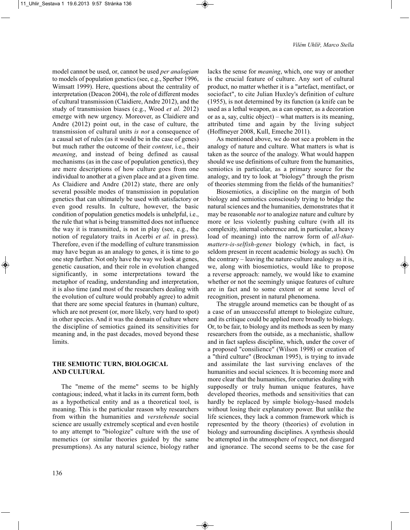model cannot be used, or, cannot be used *per analogiam* to models of population genetics (see, e.g., Sperber 1996, Wimsatt 1999). Here, questions about the centrality of interpretation (Deacon 2004), the role of different modes of cultural transmission (Claidiere, Andre 2012), and the study of transmission biases (e.g., Wood *et al.* 2012) emerge with new urgency. Moreover, as Claidiere and Andre (2012) point out, in the case of culture, the transmission of cultural units *is not* a consequence of a causal set of rules (as it would be in the case of genes) but much rather the outcome of their *content*, i.e., their *meaning*, and instead of being defined as causal mechanisms (as in the case of population genetics), they are mere descriptions of how culture goes from one individual to another at a given place and at a given time. As Claidiere and Andre (2012) state, there are only several possible modes of transmission in population genetics that can ultimately be used with satisfactory or even good results. In culture, however, the basic condition of population genetics models is unhelpful, i.e., the rule that what is being transmitted does not influence the way it is transmitted, is not in play (see, e.g., the notion of regulatory traits in Acerbi *et al.* in press). Therefore, even if the modelling of culture transmission may have begun as an analogy to genes, it is time to go one step further. Not only have the way we look at genes, genetic causation, and their role in evolution changed significantly, in some interpretations toward the metaphor of reading, understanding and interpretation, it is also time (and most of the researchers dealing with the evolution of culture would probably agree) to admit that there are some special features in (human) culture, which are not present (or, more likely, very hard to spot) in other species. And it was the domain of culture where the discipline of semiotics gained its sensitivities for meaning and, in the past decades, moved beyond these limits.

# **THE SEMIOTIC TURN, BIOLOGICAL AND CULTURAL**

The "meme of the meme" seems to be highly contagious; indeed, what it lacks in its current form, both as a hypothetical entity and as a theoretical tool, is meaning. This is the particular reason why researchers from within the humanities and *verstehende* social science are usually extremely sceptical and even hostile to any attempt to "biologize" culture with the use of memetics (or similar theories guided by the same presumptions). As any natural science, biology rather

lacks the sense for *meaning*, which, one way or another is the crucial feature of culture. Any sort of cultural product, no matter whether it is a "artefact, mentifact, or sociofact", to cite Julian Huxley's definition of culture (1955), is not determined by its function (a knife can be used as a lethal weapon, as a can opener, as a decoration or as a, say, cultic object) – what matters is its meaning, attributed time and again by the living subject (Hoffmeyer 2008, Kull, Emeche 2011).

As mentioned above, we do not see a problem in the analogy of nature and culture. What matters is what is taken as the source of the analogy. What would happen should we use definitions of culture from the humanities, semiotics in particular, as a primary source for the analogy, and try to look at "biology" through the prism of theories stemming from the fields of the humanities?

Biosemiotics, a discipline on the margin of both biology and semiotics consciously trying to bridge the natural sciences and the humanities, demonstrates that it may be reasonable *not* to analogize nature and culture by more or less violently pushing culture (with all its complexity, internal coherence and, in particular, a heavy load of meaning) into the narrow form of *all-thatmatters-is-selfish-genes* biology (which, in fact, is seldom present in recent academic biology as such). On the contrary – leaving the nature-culture analogy as it is, we, along with biosemiotics, would like to propose a reverse approach: namely, we would like to examine whether or not the seemingly unique features of culture are in fact and to some extent or at some level of recognition, present in natural phenomena.

The struggle around memetics can be thought of as a case of an unsuccessful attempt to biologize culture, and its critique could be applied more broadly to biology. Or, to be fair, to biology and its methods as seen by many researchers from the outside, as a mechanistic, shallow and in fact sapless discipline, which, under the cover of a proposed "consilience" (Wilson 1998) or creation of a "third culture" (Brockman 1995), is trying to invade and assimilate the last surviving enclaves of the humanities and social sciences. It is becoming more and more clear that the humanities, for centuries dealing with supposedly or truly human unique features, have developed theories, methods and sensitivities that can hardly be replaced by simple biology-based models without losing their explanatory power. But unlike the life sciences, they lack a common framework which is represented by the theory (theories) of evolution in biology and surrounding disciplines. A synthesis should be attempted in the atmosphere of respect, not disregard and ignorance. The second seems to be the case for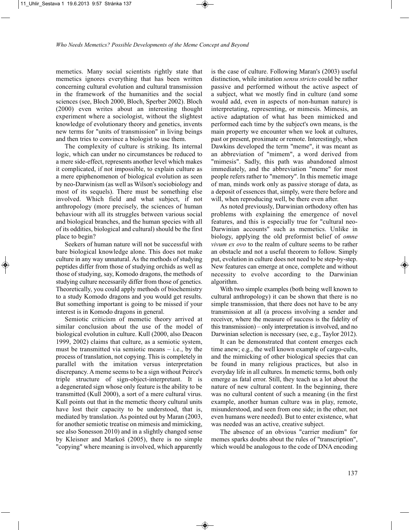memetics. Many social scientists rightly state that memetics ignores everything that has been written concerning cultural evolution and cultural transmission in the framework of the humanities and the social sciences (see, Bloch 2000, Bloch, Sperber 2002). Bloch (2000) even writes about an interesting thought experiment where a sociologist, without the slightest knowledge of evolutionary theory and genetics, invents new terms for "units of transmission" in living beings and then tries to convince a biologist to use them.

The complexity of culture is striking. Its internal logic, which can under no circumstances be reduced to a mere side-effect, represents another level which makes it complicated, if not impossible, to explain culture as a mere epiphenomenon of biological evolution as seen by neo-Darwinism (as well as Wilson's sociobiology and most of its sequels). There must be something else involved. Which field and what subject, if not anthropology (more precisely, the sciences of human behaviour with all its struggles between various social and biological branches, and the human species with all of its oddities, biological and cultural) should be the first place to begin?

Seekers of human nature will not be successful with bare biological knowledge alone. This does not make culture in any way unnatural. As the methods of studying peptides differ from those of studying orchids as well as those of studying, say, Komodo dragons, the methods of studying culture necessarily differ from those of genetics. Theoretically, you could apply methods of biochemistry to a study Komodo dragons and you would get results. But something important is going to be missed if your interest is in Komodo dragons in general.

Semiotic criticism of memetic theory arrived at similar conclusion about the use of the model of biological evolution in culture. Kull (2000, also Deacon 1999, 2002) claims that culture, as a semiotic system, must be transmitted via semiotic means  $-$  i.e., by the process of translation, not copying. This is completely in parallel with the imitation versus interpretation discrepancy. A meme seems to be a sign without Peirce's triple structure of sign-object-interpretant. It is a degenerated sign whose only feature is the ability to be transmitted (Kull 2000), a sort of a mere cultural virus. Kull points out that in the memetic theory cultural units have lost their capacity to be understood, that is, mediated by translation. As pointed out by Maran (2003, for another semiotic treatise on mimesis and mimicking, see also Sonesson 2010) and in a slightly changed sense by Kleisner and Markoš (2005), there is no simple "copying" where meaning is involved, which apparently

is the case of culture. Following Maran's (2003) useful distinction, while imitation *sensu stricto* could be rather passive and performed without the active aspect of a subject, what we mostly find in culture (and some would add, even in aspects of non-human nature) is interpretating, representing, or mimesis. Mimesis, an active adaptation of what has been mimicked and performed each time by the subject's own means, is the main property we encounter when we look at cultures, past or present, proximate or remote. Interestingly, when Dawkins developed the term "meme", it was meant as an abbreviation of "mimem", a word derived from "mimesis". Sadly, this path was abandoned almost immediately, and the abbreviation "meme" for most people refers rather to "memory". In this memetic image of man, minds work only as passive storage of data, as a deposit of essences that, simply, were there before and will, when reproducing well, be there even after.

As noted previously, Darwinian orthodoxy often has problems with explaining the emergence of novel features, and this is especially true for "cultural neo-Darwinian accounts" such as memetics. Unlike in biology, applying the old preformist belief of *omne vivum ex ovo* to the realm of culture seems to be rather an obstacle and not a useful theorem to follow. Simply put, evolution in culture does not need to be step-by-step. New features can emerge at once, complete and without necessity to evolve according to the Darwinian algorithm.

With two simple examples (both being well known to cultural anthropology) it can be shown that there is no simple transmission, that there does not have to be any transmission at all (a process involving a sender and receiver, where the measure of success is the fidelity of this transmission) – only interpretation is involved, and no Darwinian selection is necessary (see, e.g., Taylor 2012).

It can be demonstrated that content emerges each time anew; e.g., the well known example of cargo-cults, and the mimicking of other biological species that can be found in many religious practices, but also in everyday life in all cultures. In memetic terms, both only emerge as fatal error. Still, they teach us a lot about the nature of new cultural content. In the beginning, there was no cultural content of such a meaning (in the first example, another human culture was in play, remote, misunderstood, and seen from one side; in the other, not even humans were needed). But to enter existence, what was needed was an active, creative subject.

The absence of an obvious "carrier medium" for memes sparks doubts about the rules of "transcription", which would be analogous to the code of DNA encoding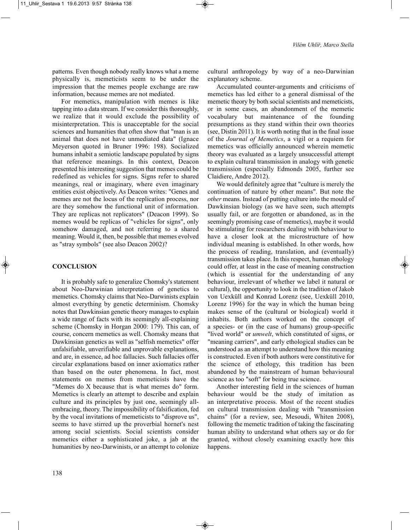patterns. Even though nobody really knows what a meme physically is, memeticists seem to be under the impression that the memes people exchange are raw information, because memes are not mediated.

For memetics, manipulation with memes is like tapping into a data stream. If we consider this thoroughly, we realize that it would exclude the possibility of misinterpretation. This is unacceptable for the social sciences and humanities that often show that "man is an animal that does not have unmediated data" (Ignace Meyerson quoted in Bruner 1996: 198). Socialized humans inhabit a semiotic landscape populated by signs that reference meanings. In this context, Deacon presented his interesting suggestion that memes could be redefined as vehicles for signs. Signs refer to shared meanings, real or imaginary, where even imaginary entities exist objectively. As Deacon writes: "Genes and memes are not the locus of the replication process, nor are they somehow the functional unit of information. They are replicas not replicators" (Deacon 1999). So memes would be replicas of "vehicles for signs", only somehow damaged, and not referring to a shared meaning. Would it, then, be possible that memes evolved as "stray symbols" (see also Deacon 2002)?

# **CONCLUSION**

It is probably safe to generalize Chomsky's statement about Neo-Darwinian interpretation of genetics to memetics. Chomsky claims that Neo-Darwinists explain almost everything by genetic determinism. Chomsky notes that Dawkinsian genetic theory manages to explain a wide range of facts with its seemingly all-explaining scheme (Chomsky in Horgan 2000: 179). This can, of course, concern memetics as well. Chomsky means that Dawkinsian genetics as well as "selfish memetics" offer unfalsifiable, unverifiable and unprovable explanations, and are, in essence, ad hoc fallacies. Such fallacies offer circular explanations based on inner axiomatics rather than based on the outer phenomena. In fact, most statements on memes from memeticists have the "Memes do X because that is what memes do" form. Memetics is clearly an attempt to describe and explain culture and its principles by just one, seemingly allembracing, theory. The impossibility of falsification, fed by the vocal invitations of memeticists to "disprove us", seems to have stirred up the proverbial hornet's nest among social scientists. Social scientists consider memetics either a sophisticated joke, a jab at the humanities by neo-Darwinists, or an attempt to colonize

cultural anthropology by way of a neo-Darwinian explanatory scheme.

Accumulated counter-arguments and criticisms of memetics has led either to a general dismissal of the memetic theory by both social scientists and memeticists, or in some cases, an abandonment of the memetic vocabulary but maintenance of the founding presumptions as they stand within their own theories (see, Distin 2011). It is worth noting that in the final issue of the *Journal of Memetics*, a vigil or a requiem for memetics was officially announced wherein memetic theory was evaluated as a largely unsuccessful attempt to explain cultural transmission in analogy with genetic transmission (especially Edmonds 2005, further see Claidiere, Andre 2012).

We would definitely agree that "culture is merely the continuation of nature by other means". But note the *other* means. Instead of putting culture into the mould of Dawkinsian biology (as we have seen, such attempts usually fail, or are forgotten or abandoned, as in the seemingly promising case of memetics), maybe it would be stimulating for researchers dealing with behaviour to have a closer look at the microstructure of how individual meaning is established. In other words, how the process of reading, translation, and (eventually) transmission takes place. In this respect, human ethology could offer, at least in the case of meaning construction (which is essential for the understanding of any behaviour, irrelevant of whether we label it natural or cultural), the opportunity to look in the tradition of Jakob von Uexküll and Konrad Lorenz (see, Uexküll 2010, Lorenz 1996) for the way in which the human being makes sense of the (cultural or biological) world it inhabits. Both authors worked on the concept of a species- or (in the case of humans) group-specific "lived world" or *umwelt*, which constituted of signs, or "meaning carriers", and early ethological studies can be understood as an attempt to understand how this meaning is constructed. Even if both authors were constitutive for the science of ethology, this tradition has been abandoned by the mainstream of human behavioural science as too "soft" for being true science.

Another interesting field in the sciences of human behaviour would be the study of imitation as an interpretative process. Most of the recent studies on cultural transmission dealing with "transmission chains" (for a review, see, Mesoudi, Whiten 2008), following the memetic tradition of taking the fascinating human ability to understand what others say or do for granted, without closely examining exactly how this happens.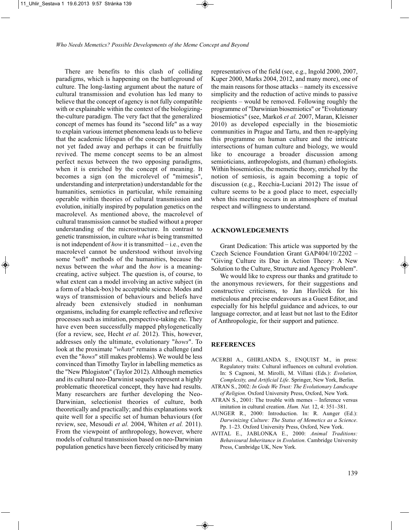There are benefits to this clash of colliding paradigms, which is happening on the battleground of culture. The long-lasting argument about the nature of cultural transmission and evolution has led many to believe that the concept of agency is not fully compatible with or explainable within the context of the biologizingthe-culture paradigm. The very fact that the generalized concept of memes has found its "second life" as a way to explain various internet phenomena leads us to believe that the academic lifespan of the concept of meme has not yet faded away and perhaps it can be fruitfully revived. The meme concept seems to be an almost perfect nexus between the two opposing paradigms, when it is enriched by the concept of meaning. It becomes a sign (on the microlevel of "mimesis", understanding and interpretation) understandable for the humanities, semiotics in particular, while remaining operable within theories of cultural transmission and evolution, initially inspired by population genetics on the macrolevel. As mentioned above, the macrolevel of cultural transmission cannot be studied without a proper understanding of the microstructure. In contrast to genetic transmission, in culture *what* is being transmitted is not independent of *how* it is transmitted – i.e., even the macrolevel cannot be understood without involving some "soft" methods of the humanities, because the nexus between the *what* and the *how* is a meaningcreating, active subject. The question is, of course, to what extent can a model involving an active subject (in a form of a black-box) be acceptable science. Modes and ways of transmission of behaviours and beliefs have already been extensively studied in nonhuman organisms, including for example reflective and reflexive processes such as imitation, perspective-taking etc. They have even been successfully mapped phylogenetically (for a review, see, Hecht *et al.* 2012). This, however, addresses only the ultimate, evolutionary "*hows*". To look at the proximate "*whats*" remains a challenge (and even the "*hows*" still makes problems). We would be less convinced than Timothy Taylor in labelling memetics as the "New Phlogiston" (Taylor 2012). Although memetics and its cultural neo-Darwinist sequels represent a highly problematic theoretical concept, they have had results. Many researchers are further developing the Neo-Darwinian, selectionist theories of culture, both theoretically and practically; and this explanations work quite well for a specific set of human behaviours (for review, see, Mesoudi *et al.* 2004, Whiten *et al.* 2011). From the viewpoint of anthropology, however, where models of cultural transmission based on neo-Darwinian population genetics have been fiercely criticised by many

representatives of the field (see, e.g., Ingold 2000, 2007, Kuper 2000, Marks 2004, 2012, and many more), one of the main reasons for those attacks – namely its excessive simplicity and the reduction of active minds to passive recipients – would be removed. Following roughly the programme of "Darwinian biosemiotics" or "Evolutionary biosemiotics" (see, Markoš *et al.* 2007, Maran, Kleisner 2010) as developed especially in the biosemiotic communities in Prague and Tartu, and then re-applying this programme on human culture and the intricate intersections of human culture and biology, we would like to encourage a broader discussion among semioticians, anthropologists, and (human) ethologists. Within biosemiotics, the memetic theory, enriched by the notion of semiosis, is again becoming a topic of discussion (e.g., Recchia-Luciani 2012) The issue of culture seems to be a good place to meet, especially when this meeting occurs in an atmosphere of mutual respect and willingness to understand.

#### **ACKNOWLEDGEMENTS**

Grant Dedication: This article was supported by the Czech Science Foundation Grant GAP404/10/2202 – "Giving Culture its Due in Action Theory: A New Solution to the Culture, Structure and Agency Problem".

We would like to express our thanks and gratitude to the anonymous reviewers, for their suggestions and constructive criticisms, to Jan Havlíček for his meticulous and precise endeavours as a Guest Editor, and especially for his helpful guidance and advices, to our language corrector, and at least but not last to the Editor of Anthropologie, for their support and patience.

#### **REFERENCES**

- ACERBI A., GHIRLANDA S., ENQUIST M., in press: Regulatory traits: Cultural influences on cultural evolution. In: S Cagnoni, M. Mirolli, M. Villani (Eds.): *Evolution, Complexity, and Artificial Life*. Springer, New York, Berlin.
- ATRAN S., 2002: *In Gods We Trust: The Evolutionary Landscape of Religion*. Oxford University Press, Oxford, New York.
- ATRAN S., 2001: The trouble with memes Inference versus imitation in cultural creation. *Hum. Nat.* 12, 4: 351–381.
- AUNGER R., 2000: Introduction. In: R. Aunger (Ed.): *Darwinizing Culture: The Status of Memetics as a Science*. Pp. 1–23. Oxford University Press, Oxford, New York.
- AVITAL E., JABLONKA E., 2000: *Animal Traditions: Behavioural Inheritance in Evolution*. Cambridge University Press, Cambridge UK, New York.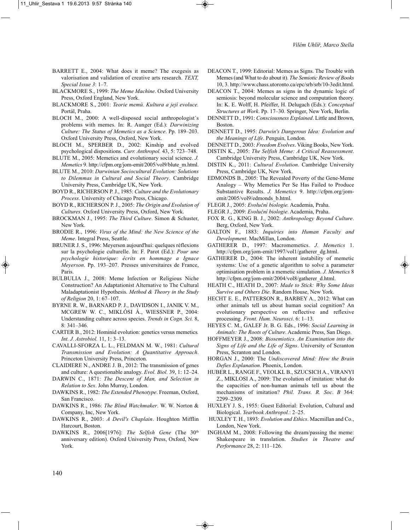- BARRETT E., 2004: What does it meme? The exegesis as valorisation and validation of creative arts research. *TEXT, Special Issue 3*: 1–7.
- BLACKMORE S., 1999: *The Meme Machine*. Oxford University Press, Oxford England, New York.
- BLACKMORE S., 2001: *Teorie memů. Kultura a její evoluce.* Portál, Praha.
- BLOCH M., 2000: A well-disposed social anthropologist´s problems with memes. In: R. Aunger (Ed.): *Darwinizing Culture: The Status of Memetics as a Science*. Pp. 189–203. Oxford University Press, Oxford, New York.
- BLOCH M., SPERBER D., 2002: Kinship and evolved psychological dispositions. *Curr. Anthropol.* 43, 5: 723–748.
- BLUTE M., 2005: Memetics and evolutionary social science. *J. Memetics* 9. http://cfpm.org/jom-emit/2005/vol9/blute\_m.html.
- BLUTE M., 2010: *Darwinian Sociocultural Evolution: Solutions to Dilemmas in Cultural and Social Theory*. Cambridge University Press, Cambridge UK, New York.
- BOYD R., RICHERSON P. J., 1985: *Culture and the Evolutionary Process*. University of Chicago Press, Chicago.
- BOYD R., RICHERSON P. J., 2005: *The Origin and Evolution of Cultures*. Oxford University Press, Oxford, New York.
- BROCKMAN J., 1995: *The Third Culture*. Simon & Schuster, New York.
- BRODIE R., 1996: *Virus of the Mind: the New Science of the Meme*. Integral Press, Seattle.
- BRUNER J. S., 1996: Meyerson aujourd'hui: quelques réflexions sur la psychologie culturelle. In: F. Parot (Ed.): *Pour une psychologie historique: écrits en hommage a Ignace Meyerson*. Pp. 193–207. Presses universitaires de France, Paris.
- BULBULIA J., 2008: Meme Infection or Religious Niche Construction? An Adaptationist Alternative to The Cultural Maladaptationist Hypothesis. *Method & Theory in the Study of Religion* 20, 1: 67–107.
- BYRNE R. W., BARNARD P. J., DAVIDSON I., JANIK V. M., MCGREW W. C., MIKLÓSI Á., WIESSNER P., 2004: Understanding culture across species. *Trends in Cogn. Sci.* 8, 8: 341–346.
- CARTER B., 2012: Hominid evolution: genetics versus memetics*. Int. J. Astrobiol.* 11, 1: 3–13.
- CAVALLI-SFORZA L. L., FELDMAN M. W., 1981: *Cultural Transmission and Evolution: A Quantitative Approach*. Princeton University Press, Princeton.
- CLAIDIERE N., ANDRE J. B., 2012: The transmission of genes and culture: A questionable analogy. *Evol. Biol.* 39, 1: 12–24.
- DARWIN C., 1871: *The Descent of Man, and Selection in Relation to Sex*. John Murray, London.
- DAWKINS R., 1982: *The Extended Phenotype*. Freeman, Oxford, San Francisco.
- DAWKINS R., 1986: *The Blind Watchmaker*. W. W. Norton & Company, Inc, New York.
- DAWKINS R., 2003: *A Devil's Chaplain*. Houghton Mifflin Harcourt, Boston.
- DAWKINS R., 2006[1976]: *The Selfish Gene* (The 30<sup>th</sup> anniversary edition). Oxford University Press, Oxford, New York.
- DEACON T., 1999: Editorial: Memes as Signs. The Trouble with Memes (and What to do about it). *The Semiotic Review of Books* 10, 3. http://www.chass.utoronto.ca/epc/srb/srb/10-3edit.html.
- DEACON T., 2004: Memes as signs in the dynamic logic of semiosis: beyond molecular science and computation theory. In: K. E. Wolff, H. Pfeiffer, H. Delugach (Eds.): *Conceptual Structures at Work*. Pp. 17–30. Springer, New York, Berlin.
- DENNETT D., 1991: *Consciousness Explained*. Little and Brown, Boston.
- DENNETT D., 1995: *Darwin's Dangerous Idea: Evolution and the Meanings of Life*. Penguin, London.
- DENNETT D., 2003: *Freedom Evolves*. Viking Books, New York.
- DISTIN K., 2005: *The Selfish Meme: A Critical Reassessment*.
- Cambridge University Press, Cambridge UK, New York.
- DISTIN K., 2011: *Cultural Evolution*. Cambridge University Press, Cambridge UK, New York.
- EDMONDS B., 2005: The Revealed Poverty of the Gene-Meme Analogy – Why Memetics Per Se Has Failed to Produce Substantive Results. *J. Memetics* 9. http://cfpm.org/jomemit/2005/vol9/edmonds\_b.html.
- FLEGR J., 2005: *Evoluční biologie.* Academia, Praha.
- FLEGR J., 2009: *Evoluční biologie*. Academia, Praha.
- FOX R. G., KING B. J., 2002: *Anthropology Beyond Culture*. Berg, Oxford, New York.
- GALTON F., 1883: *Inquiries into Human Faculty and Development*. MacMillan, London.
- GATHERER D., 1997: Macromemetics. *J. Memetics* 1. http://cfpm.org/jom-emit/1997/vol1/gatherer\_dg.html.
- GATHERER D., 2004: The inherent instability of memetic systems: Use of a genetic algorithm to solve a parameter optimisation problem in a memetic simulation. *J. Memetics* 8 http://cfpm.org/jom-emit/2004/vol8/gatherer\_d.html.
- HEATH C., HEATH D., 2007: *Made to Stick: Why Some Ideas Survive and Others Die*. Random House, New York.
- HECHT E. E., PATTERSON R., BARBEY A., 2012: What can other animals tell us about human social cognition? An evolutionary perspective on reflective and reflexive processing. *Front. Hum. Neurosci*. 6: 1–13.
- HEYES C. M., GALEF Jr. B. G. Eds., 1996: *Social Learning in Animals: The Roots of Culture*. Academic Press, San Diego.
- HOFFMEYER J., 2008: *Biosemiotics. An Examination into the Signs of Life and the Life of Signs*. University of Scranton Press, Scranton and London.
- HORGAN J., 2000: The *Undiscovered Mind: How the Brain Defies Explanation*. Phoenix, London.
- HUBER L., RANGE F., VEOLKL B., SZUCSICH A., VIRANYI Z., MIKLOSI A., 2009: The evolution of imitation: what do the capacities of non-human animals tell us about the mechanisms of imitation? *Phil. Trans. R. Soc*. *B* 364: 2299–2309.
- HUXLEY J. S., 1955: Guest Editorial: Evolution, Cultural and Biological. *Yearbook Anthropol.*: 2–25.
- HUXLEY T. H., 1893: *Evolution and Ethics*. Macmillan and Co., London, New York.
- INGHAM M., 2008: Following the dream/passing the meme: Shakespeare in translation. *Studies in Theatre and Performance* 28, 2: 111–126.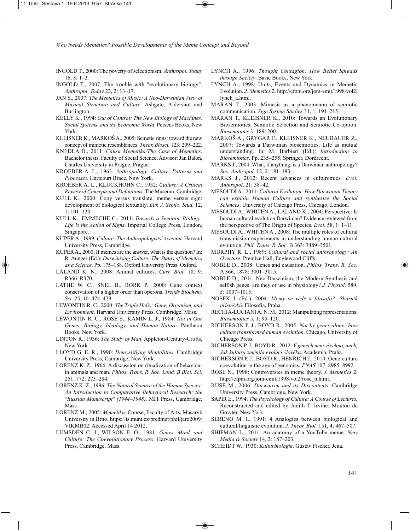- INGOLD T., 2000: The poverty of selectionism. *Anthropol. Today*  $16, 3: 1-2.$
- INGOLD T., 2007: The trouble with "evolutionary biology". *Anthropol. Today* 23, 2: 13–17.
- JAN S., 2007: *The Memetics of Music: A Neo-Darwinian View of Musical Structure and Culture*. Ashgate, Aldershot and Burlington.
- KELLY K., 1994: *Out of Control: The New Biology of Machines, Social Systems, and the Economic World*. Perseus Books, New York.
- KLEISNER K., MARKOŠ A., 2005: Semetic rings: toward the new concept of mimetic resemblances. *Theor. Biosci.* 123: 209–222.
- KNEDLA D., 2011: *Causa Memetika/The Case of Memetics*. Bachelor thesis, Faculty of Social Science, Advisor: Jan Balon, Charles University in Prague, Prague.
- KROEBER A. L., 1963: *Anthropology: Culture, Patterns and Processes*. Hartcourt Brace, New York.
- KROEBER A. L., KLUCKHOHN C., 1952: *Culture: A Critical Review of Concepts and Definitions*. The Museum, Cambridge.
- KULL K., 2000: Copy versus translate, meme versus sign: development of biological textuality. *Eur. J. Semio. Stud.* 12, 1: 101–120.
- KULL K., EMMECHE C., 2011: *Towards a Semiotic Biology: Life is the Action of Signs*. Imperial College Press, London, Singapore.
- KUPER A., 1999: *Culture: The Anthropologists' Account*. Harvard University Press, Cambridge.
- KUPER A., 2000: If memes are the answer, what is the question? In: R. Aunger (Ed.): *Darwinizing Culture: The Status of Memetics as a Science*. Pp. 175–188. Oxford University Press, Oxford.
- LALAND K. N., 2008: Animal cultures. *Curr. Biol.* 18, 9: R366–R370.
- LATHE W. C., SNEL B., BORK P., 2000: Gene context conservation of a higher order than operons. *Trends Biochem. Sci.* 25, 10: 474–479.
- LEWONTIN R. C., 2000: *The Triple Helix: Gene, Organism, and Environment*. Harvard University Press, Cambridge, Mass.
- LEWONTIN R. C., ROSE S., KAMIN L. J., 1984: *Not in Our Genes: Biology, Ideology, and Human Nature*. Pantheon Books, New York.
- LINTON R., 1936: *The Study of Man*. Appleton-Century-Crofts, New York.
- LLOYD G. E. R., 1990: *Demystifying Mentalities*. Cambridge University Press, Cambrdge, New York.
- LORENZ K. Z., 1966: A discussion on ritualization of behaviour in animals and man. *Philos. Trans. R. Soc. Lond. B Biol. Sci*. 251, 772: 273–284.
- LORENZ K. Z., 1996: *The Natural Science of the Human Species: An Introduction to Comparative Behavioral Research: the "Russian Manuscript" (1944–1948).* MIT Press, Cambridge, Mass.
- LORENZ M., 2005: *Memetika*. Course, Faculty of Arts, Masaryk University in Brno. https://is.muni.cz/predmet/phil/jaro2009/ VIKMB02. Accessed April 14 2012.
- LUMSDEN C. J., WILSON E. O., 1981: *Genes, Mind, and Culture: The Coevolutionary Process*. Harvard University Press, Cambridge, Mass.
- LYNCH A., 1996: *Thought Contagion: How Belief Spreads through Society*. Basic Books, New York.
- LYNCH A., 1998: Units, Events and Dynamics in Memetic Evolution. *J. Memetics* 2. http://cfpm.org/jom-emit/1998/vol2/ lynch\_a.html.
- MARAN T., 2003: Mimesis as a phenomenon of semiotic communication. *Sign System Studies* 31, 1: 191–215.
- MARAN T., KLEISNER K., 2010: Towards an Evolutionary Biosemiotics: Semiotic Selection and Semiotic Co-option. *Biosemiotics* 3: 189–200.
- MARKOŠ A., GRYGAR F., KLEISNER K., NEUBAUER Z., 2007: Towards a Darwinian biosemiotics. Life as mutual understanding. In: M. Barbieri (Ed.): *Introduction to Biosemiotics*. Pp. 235–255, Springer, Dordrecht.
- MARKS J., 2004: What, if anything, is a Darwinian anthropology? *Soc. Anthropol.* 12, 2: 181–193.
- MARKS J., 2012: Recent advances in culturomics. *Evol. Anthropol*. 21: 38–42.
- MESOUDI A., 2011: *Cultural Evolution: How Darwinian Theory can explain Human Culture and synthesize the Social Sciences*. University of Chicago Press, Chicago, London.
- MESOUDI A., WHITEN A., LALAND K., 2004: Perspective: Is human cultural evolution Darwinian? Evidence reviewed from the perspective of The Origin of Species. *Evol.* 58, 1: 1–11.
- MESOUDI A., WHITEN A., 2008: The multiple roles of cultural transmission experiments in understanding human cultural evolution. *Phil. Trans. R. Soc*. B 363: 3489–3501.
- MURPHY R. L., 1989: *Cultural and social anthropology: An Overture*. Prentice Hall, Englewood Cliffs.
- NOBLE D., 2008: Genes and causation. *Philos. Trans. R. Soc.* A 366, 1878: 3001–3015.
- NOBLE D., 2011: Neo-Darwinism, the Modern Synthesis and selfish genes: are they of use in physiology? *J. Physiol.* 589, 5: 1007–1015.
- NOSEK J. (Ed.), 2004: *Memy ve vědě a filosofii?: Sborník příspěvků*. Filosofia, Praha.
- RECHIA-LUCIANI A. N. M., 2012: Manipulating representations. *Biosemiotics* 5, 1: 95–120.
- RICHERSON P. J., BOYD R., 2005: *Not by genes alone: how culture transformed human evolution*. Chicago, University of Chicago Press.
- RICHERSON P. J., BOYD R., 2012: *V genech není všechno, aneb, Jak kultura změnila evoluci člověka*. Academia, Praha.
- RICHERSON P. J., BOYD R., HENRICH J., 2010: Gene-culture coevolution in the age of genomics*. PNAS* 107: 8985–8992.
- ROSE N., 1998: Controversies in meme theory. *J. Memetics* 2. http://cfpm.org/jom-emit/1998/vol2/rose\_n.html.
- RUSE M., 2006: *Darwinism and its Discontents*. Cambridge University Press, Cambridge, New York.
- SAPIR E., 1994: *The Psychology of Culture: A Course of Lectures*, Reconstructed and edited by Judith T. Irvine. Mouton de Gruyter, New York.
- SERENO M. I., 1991: 4 Analogies between biological and cultural/linguistic evolution. *J. Theor. Biol.* 151, 4: 467–507.
- SHIFMAN L., 2011: An anatomy of a YouTube meme. *New Media & Society* 14, 2: 187–203.
- SCHEIDT W., 1930: *Kulturbiologie*. Gustav Fischer, Jena.